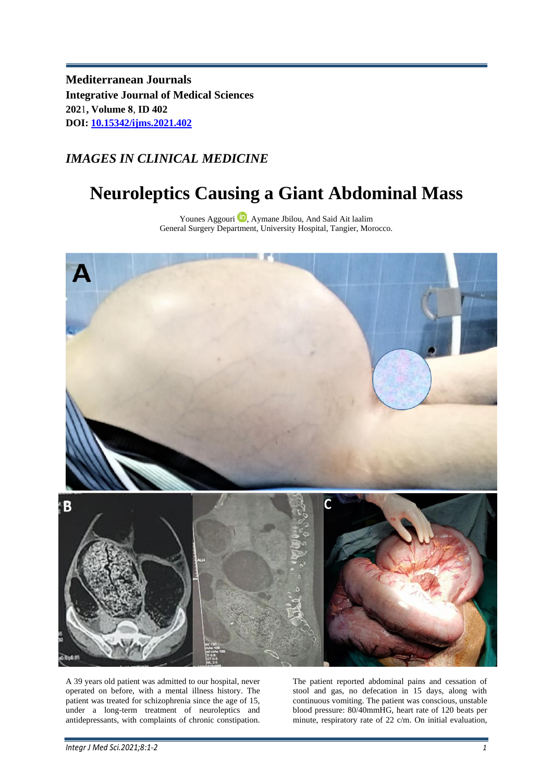**Mediterranean Journals Integrative Journal of Medical Sciences 202**1**, Volume 8**, **ID 402 DOI: [10.15342/ijms.2021.402](https://www.doi.org/10.15342/ijms.2021.402)**

## *IMAGES IN CLINICAL MEDICINE*

## **Neuroleptics Causing a Giant Abdominal Mass**

Younes Aggouri<sup>D</sup>, Aymane Jbilou, And Said Ait laalim General Surgery Department, University Hospital, Tangier, Morocco.



A 39 years old patient was admitted to our hospital, never operated on before, with a mental illness history. The patient was treated for schizophrenia since the age of 15, under a long-term treatment of neuroleptics and antidepressants, with complaints of chronic constipation.

The patient reported abdominal pains and cessation of stool and gas, no defecation in 15 days, along with continuous vomiting. The patient was conscious, unstable blood pressure: 80/40mmHG, heart rate of 120 beats per minute, respiratory rate of 22 c/m. On initial evaluation,